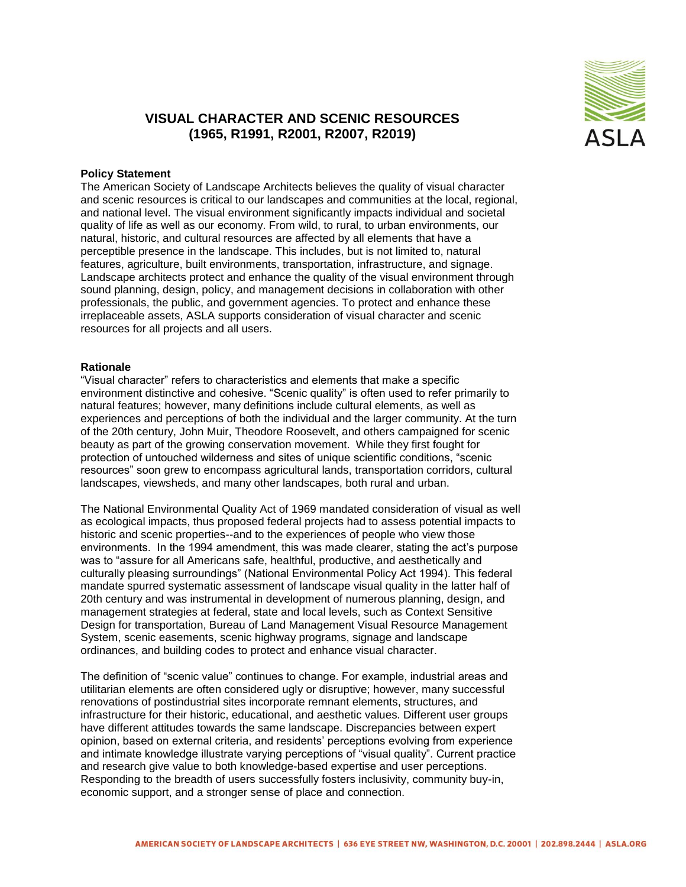

## **VISUAL CHARACTER AND SCENIC RESOURCES (1965, R1991, R2001, R2007, R2019)**

## **Policy Statement**

The American Society of Landscape Architects believes the quality of visual character and scenic resources is critical to our landscapes and communities at the local, regional, and national level. The visual environment significantly impacts individual and societal quality of life as well as our economy. From wild, to rural, to urban environments, our natural, historic, and cultural resources are affected by all elements that have a perceptible presence in the landscape. This includes, but is not limited to, natural features, agriculture, built environments, transportation, infrastructure, and signage. Landscape architects protect and enhance the quality of the visual environment through sound planning, design, policy, and management decisions in collaboration with other professionals, the public, and government agencies. To protect and enhance these irreplaceable assets, ASLA supports consideration of visual character and scenic resources for all projects and all users.

## **Rationale**

"Visual character" refers to characteristics and elements that make a specific environment distinctive and cohesive. "Scenic quality" is often used to refer primarily to natural features; however, many definitions include cultural elements, as well as experiences and perceptions of both the individual and the larger community. At the turn of the 20th century, John Muir, Theodore Roosevelt, and others campaigned for scenic beauty as part of the growing conservation movement. While they first fought for protection of untouched wilderness and sites of unique scientific conditions, "scenic resources" soon grew to encompass agricultural lands, transportation corridors, cultural landscapes, viewsheds, and many other landscapes, both rural and urban.

The National Environmental Quality Act of 1969 mandated consideration of visual as well as ecological impacts, thus proposed federal projects had to assess potential impacts to historic and scenic properties--and to the experiences of people who view those environments. In the 1994 amendment, this was made clearer, stating the act's purpose was to "assure for all Americans safe, healthful, productive, and aesthetically and culturally pleasing surroundings" (National Environmental Policy Act 1994). This federal mandate spurred systematic assessment of landscape visual quality in the latter half of 20th century and was instrumental in development of numerous planning, design, and management strategies at federal, state and local levels, such as Context Sensitive Design for transportation, Bureau of Land Management Visual Resource Management System, scenic easements, scenic highway programs, signage and landscape ordinances, and building codes to protect and enhance visual character.

The definition of "scenic value" continues to change. For example, industrial areas and utilitarian elements are often considered ugly or disruptive; however, many successful renovations of postindustrial sites incorporate remnant elements, structures, and infrastructure for their historic, educational, and aesthetic values. Different user groups have different attitudes towards the same landscape. Discrepancies between expert opinion, based on external criteria, and residents' perceptions evolving from experience and intimate knowledge illustrate varying perceptions of "visual quality". Current practice and research give value to both knowledge-based expertise and user perceptions. Responding to the breadth of users successfully fosters inclusivity, community buy-in, economic support, and a stronger sense of place and connection.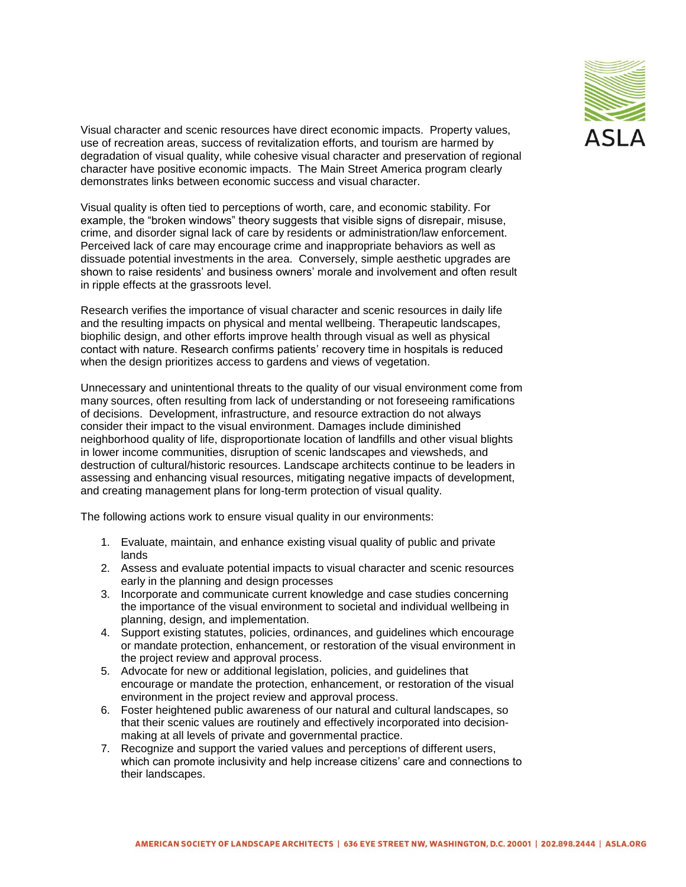

Visual character and scenic resources have direct economic impacts. Property values, use of recreation areas, success of revitalization efforts, and tourism are harmed by degradation of visual quality, while cohesive visual character and preservation of regional character have positive economic impacts. The Main Street America program clearly demonstrates links between economic success and visual character.

Visual quality is often tied to perceptions of worth, care, and economic stability. For example, the "broken windows" theory suggests that visible signs of disrepair, misuse, crime, and disorder signal lack of care by residents or administration/law enforcement. Perceived lack of care may encourage crime and inappropriate behaviors as well as dissuade potential investments in the area. Conversely, simple aesthetic upgrades are shown to raise residents' and business owners' morale and involvement and often result in ripple effects at the grassroots level.

Research verifies the importance of visual character and scenic resources in daily life and the resulting impacts on physical and mental wellbeing. Therapeutic landscapes, biophilic design, and other efforts improve health through visual as well as physical contact with nature. Research confirms patients' recovery time in hospitals is reduced when the design prioritizes access to gardens and views of vegetation.

Unnecessary and unintentional threats to the quality of our visual environment come from many sources, often resulting from lack of understanding or not foreseeing ramifications of decisions. Development, infrastructure, and resource extraction do not always consider their impact to the visual environment. Damages include diminished neighborhood quality of life, disproportionate location of landfills and other visual blights in lower income communities, disruption of scenic landscapes and viewsheds, and destruction of cultural/historic resources. Landscape architects continue to be leaders in assessing and enhancing visual resources, mitigating negative impacts of development, and creating management plans for long-term protection of visual quality.

The following actions work to ensure visual quality in our environments:

- 1. Evaluate, maintain, and enhance existing visual quality of public and private lands
- 2. Assess and evaluate potential impacts to visual character and scenic resources early in the planning and design processes
- 3. Incorporate and communicate current knowledge and case studies concerning the importance of the visual environment to societal and individual wellbeing in planning, design, and implementation.
- 4. Support existing statutes, policies, ordinances, and guidelines which encourage or mandate protection, enhancement, or restoration of the visual environment in the project review and approval process.
- 5. Advocate for new or additional legislation, policies, and guidelines that encourage or mandate the protection, enhancement, or restoration of the visual environment in the project review and approval process.
- 6. Foster heightened public awareness of our natural and cultural landscapes, so that their scenic values are routinely and effectively incorporated into decisionmaking at all levels of private and governmental practice.
- 7. Recognize and support the varied values and perceptions of different users, which can promote inclusivity and help increase citizens' care and connections to their landscapes.